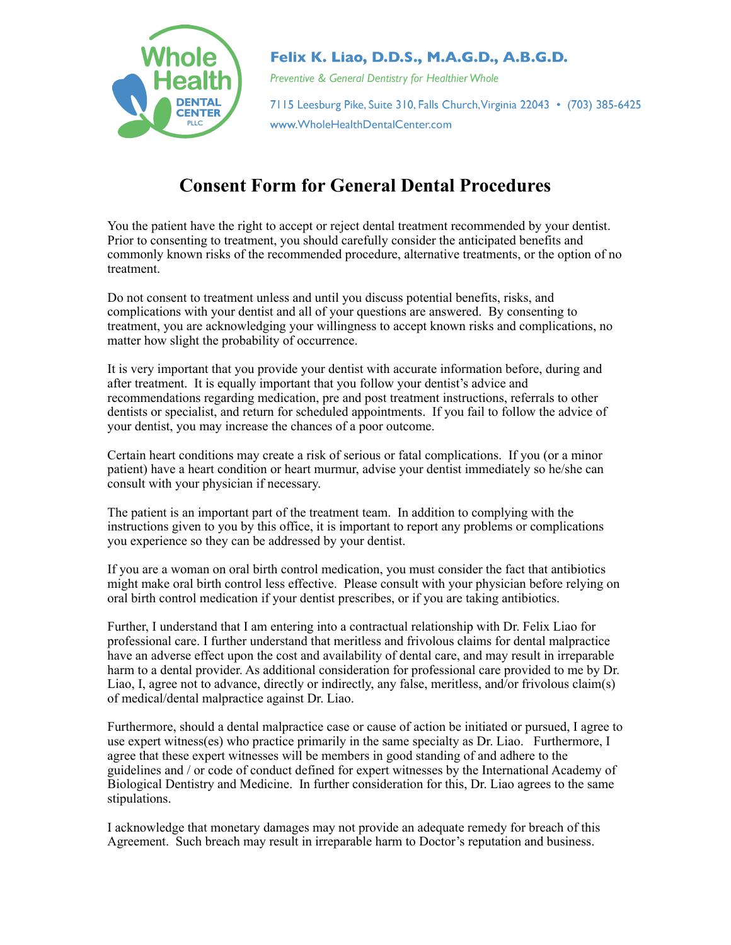

## Felix K. Liao, D.D.S., M.A.G.D., A.B.G.D.

Preventive & General Dentistry for Healthier Whole

7115 Leesburg Pike, Suite 310, Falls Church, Virginia 22043 • (703) 385-6425 www.WholeHealthDentalCenter.com

## **Consent Form for General Dental Procedures**

You the patient have the right to accept or reject dental treatment recommended by your dentist. Prior to consenting to treatment, you should carefully consider the anticipated benefits and commonly known risks of the recommended procedure, alternative treatments, or the option of no treatment.

Do not consent to treatment unless and until you discuss potential benefits, risks, and complications with your dentist and all of your questions are answered. By consenting to treatment, you are acknowledging your willingness to accept known risks and complications, no matter how slight the probability of occurrence.

It is very important that you provide your dentist with accurate information before, during and after treatment. It is equally important that you follow your dentist's advice and recommendations regarding medication, pre and post treatment instructions, referrals to other dentists or specialist, and return for scheduled appointments. If you fail to follow the advice of your dentist, you may increase the chances of a poor outcome.

Certain heart conditions may create a risk of serious or fatal complications. If you (or a minor patient) have a heart condition or heart murmur, advise your dentist immediately so he/she can consult with your physician if necessary.

The patient is an important part of the treatment team. In addition to complying with the instructions given to you by this office, it is important to report any problems or complications you experience so they can be addressed by your dentist.

If you are a woman on oral birth control medication, you must consider the fact that antibiotics might make oral birth control less effective. Please consult with your physician before relying on oral birth control medication if your dentist prescribes, or if you are taking antibiotics.

Further, I understand that I am entering into a contractual relationship with Dr. Felix Liao for professional care. I further understand that meritless and frivolous claims for dental malpractice have an adverse effect upon the cost and availability of dental care, and may result in irreparable harm to a dental provider. As additional consideration for professional care provided to me by Dr. Liao, I, agree not to advance, directly or indirectly, any false, meritless, and/or frivolous claim(s) of medical/dental malpractice against Dr. Liao.

Furthermore, should a dental malpractice case or cause of action be initiated or pursued, I agree to use expert witness(es) who practice primarily in the same specialty as Dr. Liao. Furthermore, I agree that these expert witnesses will be members in good standing of and adhere to the guidelines and / or code of conduct defined for expert witnesses by the International Academy of Biological Dentistry and Medicine. In further consideration for this, Dr. Liao agrees to the same stipulations.

I acknowledge that monetary damages may not provide an adequate remedy for breach of this Agreement. Such breach may result in irreparable harm to Doctor's reputation and business.